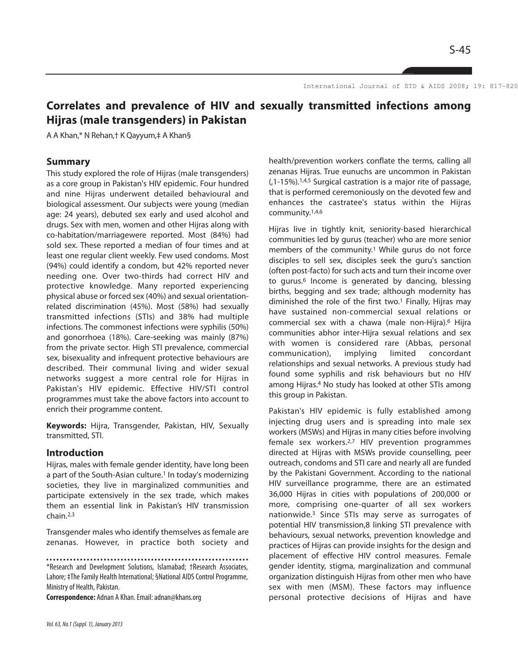S-45

International Journal of STD & AIDS 2008; 19: 817-820.

# **Correlates and prevalence of HIV and sexually transmitted infections among Hijras (male transgenders) in Pakistan**

A A Khan,\* N Rehan,† K Qayyum,‡ A Khan§

#### **Summary**

This study explored the role of Hijras (male transgenders) as a core group in Pakistan's HIV epidemic. Four hundred and nine Hijras underwent detailed behavioural and biological assessment. Our subjects were young (median age: 24 years), debuted sex early and used alcohol and drugs. Sex with men, women and other Hijras along with co-habitation/marriagewere reported. Most (84%) had sold sex. These reported a median of four times and at least one regular client weekly. Few used condoms. Most (94%) could identify a condom, but 42% reported never needing one. Over two-thirds had correct HIV and protective knowledge. Many reported experiencing physical abuse or forced sex (40%) and sexual orientationrelated discrimination (45%). Most (58%) had sexually transmitted infections (STIs) and 38% had multiple infections. The commonest infections were syphilis (50%) and gonorrhoea (18%). Care-seeking was mainly (87%) from the private sector. High STI prevalence, commercial sex, bisexuality and infrequent protective behaviours are described. Their communal living and wider sexual networks suggest a more central role for Hijras in Pakistan's HIV epidemic. Effective HIV/STI control programmes must take the above factors into account to enrich their programme content.

**Keywords:** Hijra, Transgender, Pakistan, HIV, Sexually transmitted, STI.

### **Introduction**

Hijras, males with female gender identity, have long been a part of the South-Asian culture.<sup>1</sup> In today's modernizing societies, they live in marginalized communities and participate extensively in the sex trade, which makes them an essential link in Pakistan's HIV transmission chain.2,3

Transgender males who identify themselves as female are zenanas. However, in practice both society and

**Correspondence:** Adnan A Khan. Email: adnan@khans.org

health/prevention workers conflate the terms, calling all zenanas Hijras. True eunuchs are uncommon in Pakistan (,1-15%).1,4,5 Surgical castration is a major rite of passage, that is performed ceremoniously on the devoted few and enhances the castratee's status within the Hijras community.1,4,6

Hijras live in tightly knit, seniority-based hierarchical communities led by gurus (teacher) who are more senior members of the community.<sup>1</sup> While gurus do not force disciples to sell sex, disciples seek the guru's sanction (often post-facto) for such acts and turn their income over to gurus.<sup>6</sup> Income is generated by dancing, blessing births, begging and sex trade; although modernity has diminished the role of the first two.<sup>1</sup> Finally, Hijras may have sustained non-commercial sexual relations or commercial sex with a chawa (male non-Hijra).<sup>6</sup> Hijra communities abhor inter-Hijra sexual relations and sex with women is considered rare (Abbas, personal communication), implying limited concordant relationships and sexual networks. A previous study had found some syphilis and risk behaviours but no HIV among Hijras.<sup>4</sup> No study has looked at other STIs among this group in Pakistan.

Pakistan's HIV epidemic is fully established among injecting drug users and is spreading into male sex workers (MSWs) and Hijras in many cities before involving female sex workers.2,7 HIV prevention programmes directed at Hijras with MSWs provide counselling, peer outreach, condoms and STI care and nearly all are funded by the Pakistani Government. According to the national HIV surveillance programme, there are an estimated 36,000 Hijras in cities with populations of 200,000 or more, comprising one-quarter of all sex workers nationwide.<sup>3</sup> Since STIs may serve as surrogates of potential HIV transmission,8 linking STI prevalence with behaviours, sexual networks, prevention knowledge and practices of Hijras can provide insights for the design and placement of effective HIV control measures. Female gender identity, stigma, marginalization and communal organization distinguish Hijras from other men who have sex with men (MSM). These factors may influence personal protective decisions of Hijras and have

<sup>\*</sup>Research and Development Solutions, Islamabad; †Research Associates, Lahore; ‡The Family Health International; §National AIDS Control Programme, Ministry of Health, Pakistan.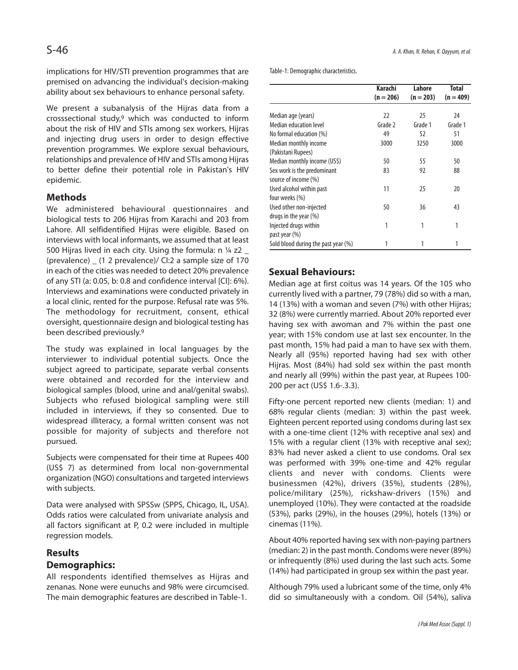implications for HIV/STI prevention programmes that are premised on advancing the individual's decision-making ability about sex behaviours to enhance personal safety.

We present a subanalysis of the Hijras data from a crosssectional study,<sup>9</sup> which was conducted to inform about the risk of HIV and STIs among sex workers, Hijras and injecting drug users in order to design effective prevention programmes. We explore sexual behaviours, relationships and prevalence of HIV and STIs among Hijras to better define their potential role in Pakistan's HIV epidemic.

# **Methods**

We administered behavioural questionnaires and biological tests to 206 Hijras from Karachi and 203 from Lahore. All selfidentified Hijras were eligible. Based on interviews with local informants, we assumed that at least 500 Hijras lived in each city. Using the formula:  $n \frac{1}{4}$  z2 \_ (prevalence) \_ (1 2 prevalence)/ CI:2 a sample size of 170 in each of the cities was needed to detect 20% prevalence of any STI (a: 0.05, b: 0.8 and confidence interval [CI]: 6%). Interviews and examinations were conducted privately in a local clinic, rented for the purpose. Refusal rate was 5%. The methodology for recruitment, consent, ethical oversight, questionnaire design and biological testing has been described previously.<sup>9</sup>

The study was explained in local languages by the interviewer to individual potential subjects. Once the subject agreed to participate, separate verbal consents were obtained and recorded for the interview and biological samples (blood, urine and anal/genital swabs). Subjects who refused biological sampling were still included in interviews, if they so consented. Due to widespread illiteracy, a formal written consent was not possible for majority of subjects and therefore not pursued.

Subjects were compensated for their time at Rupees 400 (US\$ 7) as determined from local non-governmental organization (NGO) consultations and targeted interviews with subjects.

Data were analysed with SPSSw (SPPS, Chicago, IL, USA). Odds ratios were calculated from univariate analysis and all factors significant at P, 0.2 were included in multiple regression models.

# **Results**

# **Demographics:**

All respondents identified themselves as Hijras and zenanas. None were eunuchs and 98% were circumcised. The main demographic features are described in Table-1.

Table-1: Demographic characteristics.

|                                     | Karachi     | Lahore      | Total       |
|-------------------------------------|-------------|-------------|-------------|
|                                     | $(n = 206)$ | $(n = 203)$ | $(n = 409)$ |
|                                     |             |             |             |
| Median age (years)                  | 22          | 25          | 24          |
| Median education level              | Grade 2     | Grade 1     | Grade 1     |
| No formal education (%)             | 49          | 52          | 51          |
| Median monthly income               | 3000        | 3250        | 3000        |
| (Pakistani Rupees)                  |             |             |             |
| Median monthly income (US\$)        | 50          | 55          | 50          |
| Sex work is the predominant         | 83          | 92          | 88          |
| source of income (%)                |             |             |             |
| Used alcohol within past            | 11          | 25          | 20          |
| four weeks (%)                      |             |             |             |
| Used other non-injected             | 50          | 36          | 43          |
| drugs in the year (%)               |             |             |             |
| Injected drugs within               | 1           | 1           | 1           |
| past year (%)                       |             |             |             |
| Sold blood during the past year (%) |             | 1           | 1           |

# **Sexual Behaviours:**

Median age at first coitus was 14 years. Of the 105 who currently lived with a partner, 79 (78%) did so with a man, 14 (13%) with a woman and seven (7%) with other Hijras; 32 (8%) were currently married. About 20% reported ever having sex with awoman and 7% within the past one year; with 15% condom use at last sex encounter. In the past month, 15% had paid a man to have sex with them. Nearly all (95%) reported having had sex with other Hijras. Most (84%) had sold sex within the past month and nearly all (99%) within the past year, at Rupees 100- 200 per act (US\$ 1.6-.3.3).

Fifty-one percent reported new clients (median: 1) and 68% regular clients (median: 3) within the past week. Eighteen percent reported using condoms during last sex with a one-time client (12% with receptive anal sex) and 15% with a regular client (13% with receptive anal sex); 83% had never asked a client to use condoms. Oral sex was performed with 39% one-time and 42% regular clients and never with condoms. Clients were businessmen (42%), drivers (35%), students (28%), police/military (25%), rickshaw-drivers (15%) and unemployed (10%). They were contacted at the roadside (53%), parks (29%), in the houses (29%), hotels (13%) or cinemas (11%).

About 40% reported having sex with non-paying partners (median: 2) in the past month. Condoms were never (89%) or infrequently (8%) used during the last such acts. Some (14%) had participated in group sex within the past year.

Although 79% used a lubricant some of the time, only 4% did so simultaneously with a condom. Oil (54%), saliva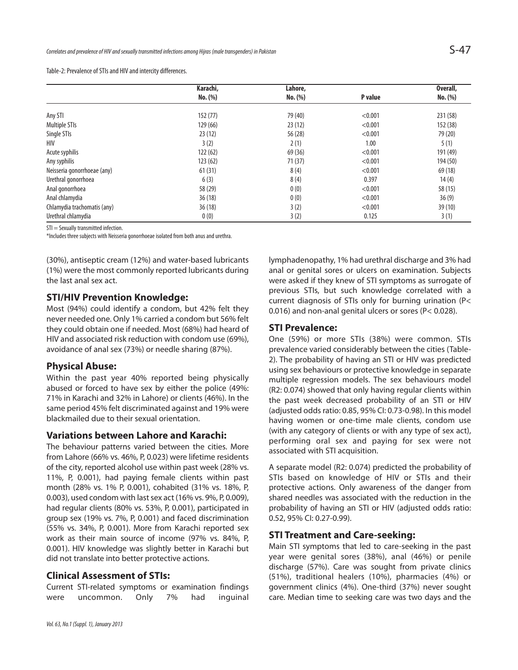Table-2: Prevalence of STIs and HIV and intercity differences.

|                             | Karachi, | Lahore, |         | Overall, |
|-----------------------------|----------|---------|---------|----------|
|                             | No. (%)  | No. (%) | P value | No. (%)  |
|                             |          |         |         |          |
| Any STI                     | 152(77)  | 79 (40) | < 0.001 | 231 (58) |
| Multiple STIs               | 129 (66) | 23(12)  | < 0.001 | 152 (38) |
| Single STIs                 | 23(12)   | 56 (28) | < 0.001 | 79 (20)  |
| HIV                         | 3(2)     | 2(1)    | 1.00    | 5(1)     |
| Acute syphilis              | 122(62)  | 69 (36) | < 0.001 | 191 (49) |
| Any syphilis                | 123(62)  | 71(37)  | < 0.001 | 194 (50) |
| Neisseria gonorrhoeae (any) | 61(31)   | 8(4)    | < 0.001 | 69 (18)  |
| Urethral gonorrhoea         | 6(3)     | 8(4)    | 0.397   | 14(4)    |
| Anal gonorrhoea             | 58 (29)  | 0(0)    | < 0.001 | 58 (15)  |
| Anal chlamydia              | 36(18)   | 0(0)    | < 0.001 | 36(9)    |
| Chlamydia trachomatis (any) | 36(18)   | 3(2)    | < 0.001 | 39(10)   |
| Urethral chlamydia          | 0(0)     | 3(2)    | 0.125   | 3(1)     |

STI = Sexually transmitted infection.

\*Includes three subjects with Neisseria gonorrhoeae isolated from both anus and urethra.

(30%), antiseptic cream (12%) and water-based lubricants (1%) were the most commonly reported lubricants during the last anal sex act.

## **STI/HIV Prevention Knowledge:**

Most (94%) could identify a condom, but 42% felt they never needed one. Only 1% carried a condom but 56% felt they could obtain one if needed. Most (68%) had heard of HIV and associated risk reduction with condom use (69%), avoidance of anal sex (73%) or needle sharing (87%).

### **Physical Abuse:**

Within the past year 40% reported being physically abused or forced to have sex by either the police (49%: 71% in Karachi and 32% in Lahore) or clients (46%). In the same period 45% felt discriminated against and 19% were blackmailed due to their sexual orientation.

#### **Variations between Lahore and Karachi:**

The behaviour patterns varied between the cities. More from Lahore (66% vs. 46%, P, 0.023) were lifetime residents of the city, reported alcohol use within past week (28% vs. 11%, P, 0.001), had paying female clients within past month (28% vs. 1% P, 0.001), cohabited (31% vs. 18%, P, 0.003), used condom with last sex act (16% vs. 9%, P, 0.009), had regular clients (80% vs. 53%, P, 0.001), participated in group sex (19% vs. 7%, P, 0.001) and faced discrimination (55% vs. 34%, P, 0.001). More from Karachi reported sex work as their main source of income (97% vs. 84%, P, 0.001). HIV knowledge was slightly better in Karachi but did not translate into better protective actions.

#### **Clinical Assessment of STIs:**

Current STI-related symptoms or examination findings were uncommon. Only 7% had inguinal lymphadenopathy, 1% had urethral discharge and 3% had anal or genital sores or ulcers on examination. Subjects were asked if they knew of STI symptoms as surrogate of previous STIs, but such knowledge correlated with a current diagnosis of STIs only for burning urination (P< 0.016) and non-anal genital ulcers or sores (P< 0.028).

#### **STI Prevalence:**

One (59%) or more STIs (38%) were common. STIs prevalence varied considerably between the cities (Table-2). The probability of having an STI or HIV was predicted using sex behaviours or protective knowledge in separate multiple regression models. The sex behaviours model (R2: 0.074) showed that only having regular clients within the past week decreased probability of an STI or HIV (adjusted odds ratio: 0.85, 95% CI: 0.73-0.98). In this model having women or one-time male clients, condom use (with any category of clients or with any type of sex act), performing oral sex and paying for sex were not associated with STI acquisition.

A separate model (R2: 0.074) predicted the probability of STIs based on knowledge of HIV or STIs and their protective actions. Only awareness of the danger from shared needles was associated with the reduction in the probability of having an STI or HIV (adjusted odds ratio: 0.52, 95% CI: 0.27-0.99).

# **STI Treatment and Care-seeking:**

Main STI symptoms that led to care-seeking in the past year were genital sores (38%), anal (46%) or penile discharge (57%). Care was sought from private clinics (51%), traditional healers (10%), pharmacies (4%) or government clinics (4%). One-third (37%) never sought care. Median time to seeking care was two days and the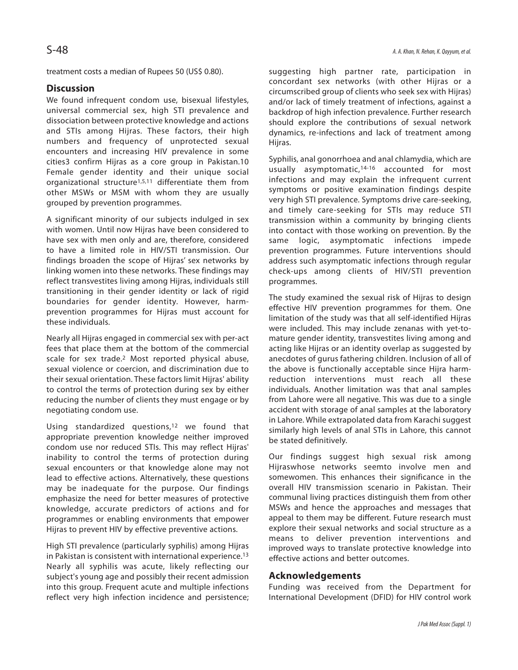treatment costs a median of Rupees 50 (US\$ 0.80).

# **Discussion**

We found infrequent condom use, bisexual lifestyles, universal commercial sex, high STI prevalence and dissociation between protective knowledge and actions and STIs among Hijras. These factors, their high numbers and frequency of unprotected sexual encounters and increasing HIV prevalence in some cities3 confirm Hijras as a core group in Pakistan.10 Female gender identity and their unique social organizational structure1,5,11 differentiate them from other MSWs or MSM with whom they are usually grouped by prevention programmes.

A significant minority of our subjects indulged in sex with women. Until now Hijras have been considered to have sex with men only and are, therefore, considered to have a limited role in HIV/STI transmission. Our findings broaden the scope of Hijras' sex networks by linking women into these networks. These findings may reflect transvestites living among Hijras, individuals still transitioning in their gender identity or lack of rigid boundaries for gender identity. However, harmprevention programmes for Hijras must account for these individuals.

Nearly all Hijras engaged in commercial sex with per-act fees that place them at the bottom of the commercial scale for sex trade.<sup>2</sup> Most reported physical abuse, sexual violence or coercion, and discrimination due to their sexual orientation. These factors limit Hijras' ability to control the terms of protection during sex by either reducing the number of clients they must engage or by negotiating condom use.

Using standardized questions,<sup>12</sup> we found that appropriate prevention knowledge neither improved condom use nor reduced STIs. This may reflect Hijras' inability to control the terms of protection during sexual encounters or that knowledge alone may not lead to effective actions. Alternatively, these questions may be inadequate for the purpose. Our findings emphasize the need for better measures of protective knowledge, accurate predictors of actions and for programmes or enabling environments that empower Hijras to prevent HIV by effective preventive actions.

High STI prevalence (particularly syphilis) among Hijras in Pakistan is consistent with international experience.<sup>13</sup> Nearly all syphilis was acute, likely reflecting our subject's young age and possibly their recent admission into this group. Frequent acute and multiple infections reflect very high infection incidence and persistence; suggesting high partner rate, participation in concordant sex networks (with other Hijras or a circumscribed group of clients who seek sex with Hijras) and/or lack of timely treatment of infections, against a backdrop of high infection prevalence. Further research should explore the contributions of sexual network dynamics, re-infections and lack of treatment among Hijras.

Syphilis, anal gonorrhoea and anal chlamydia, which are usually asymptomatic,14-16 accounted for most infections and may explain the infrequent current symptoms or positive examination findings despite very high STI prevalence. Symptoms drive care-seeking, and timely care-seeking for STIs may reduce STI transmission within a community by bringing clients into contact with those working on prevention. By the same logic, asymptomatic infections impede prevention programmes. Future interventions should address such asymptomatic infections through regular check-ups among clients of HIV/STI prevention programmes.

The study examined the sexual risk of Hijras to design effective HIV prevention programmes for them. One limitation of the study was that all self-identified Hijras were included. This may include zenanas with yet-tomature gender identity, transvestites living among and acting like Hijras or an identity overlap as suggested by anecdotes of gurus fathering children. Inclusion of all of the above is functionally acceptable since Hijra harmreduction interventions must reach all these individuals. Another limitation was that anal samples from Lahore were all negative. This was due to a single accident with storage of anal samples at the laboratory in Lahore. While extrapolated data from Karachi suggest similarly high levels of anal STIs in Lahore, this cannot be stated definitively.

Our findings suggest high sexual risk among Hijraswhose networks seemto involve men and somewomen. This enhances their significance in the overall HIV transmission scenario in Pakistan. Their communal living practices distinguish them from other MSWs and hence the approaches and messages that appeal to them may be different. Future research must explore their sexual networks and social structure as a means to deliver prevention interventions and improved ways to translate protective knowledge into effective actions and better outcomes.

# **Acknowledgements**

Funding was received from the Department for International Development (DFID) for HIV control work